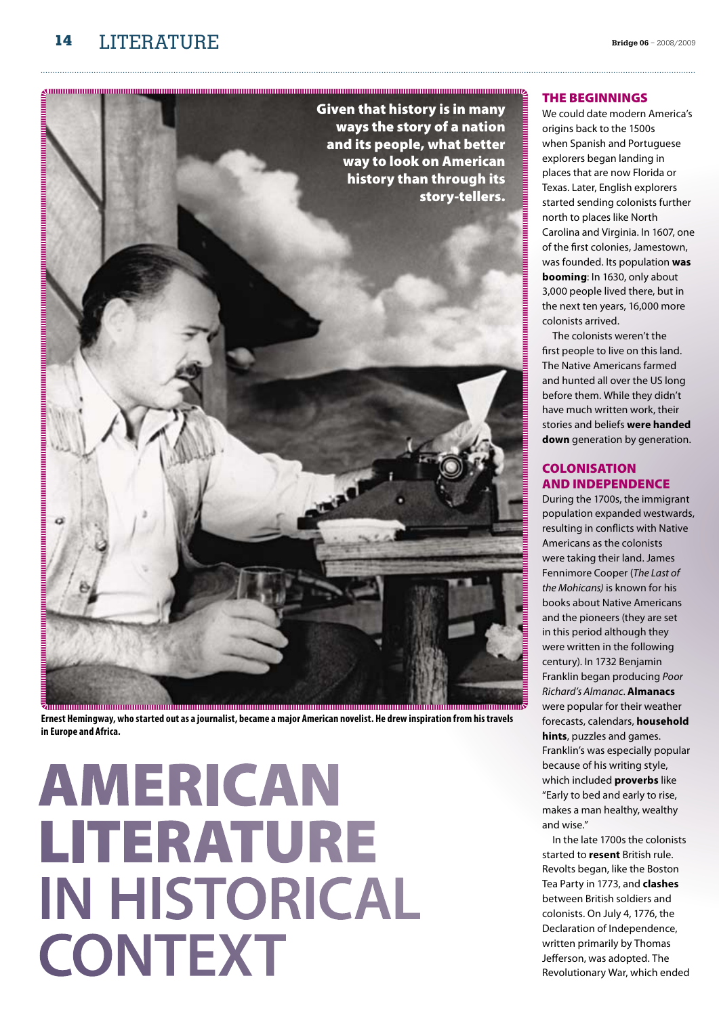

# **NUMBER OF STATES OF STATES OF STATES OF STATES OF STATES OF STATES OF STATES OF STATES OF STATES OF STATES OF S** story-tellers. **DE L'ANNON DE L'ANNON DE L'ANNON DE L'ANNON DE L'ANNON DE L'ANNON DE L'ANNON DE L'ANNON DE L'ANNON DE L'ANNON**

**Ernest Hemingway, who started out as a journalist, became a major American novelist. He drew inspiration from his travels in Europe and Africa.** 

# **AMERICAN** literature **in historical CONTEXT**

# The beginnings

We could date modern America's origins back to the 1500s when Spanish and Portuguese explorers began landing in places that are now Florida or Texas. Later, English explorers started sending colonists further north to places like North Carolina and Virginia. In 1607, one of the first colonies, Jamestown, was founded. Its population **was booming**: In 1630, only about 3,000 people lived there, but in the next ten years, 16,000 more colonists arrived.

The colonists weren't the first people to live on this land. The Native Americans farmed and hunted all over the US long before them. While they didn't have much written work, their stories and beliefs **were handed down** generation by generation.

# **COLONISATION** and independence

During the 1700s, the immigrant population expanded westwards, resulting in conflicts with Native Americans as the colonists were taking their land. James Fennimore Cooper (*The Last of the Mohicans)* is known for his books about Native Americans and the pioneers (they are set in this period although they were written in the following century). In 1732 Benjamin Franklin began producing *Poor Richard's Almanac*. **Almanacs** were popular for their weather forecasts, calendars, **household hints**, puzzles and games. Franklin's was especially popular because of his writing style, which included **proverbs** like "Early to bed and early to rise, makes a man healthy, wealthy and wise."

In the late 1700s the colonists started to **resent** British rule. Revolts began, like the Boston Tea Party in 1773, and **clashes** between British soldiers and colonists. On July 4, 1776, the Declaration of Independence, written primarily by Thomas Jefferson, was adopted. The Revolutionary War, which ended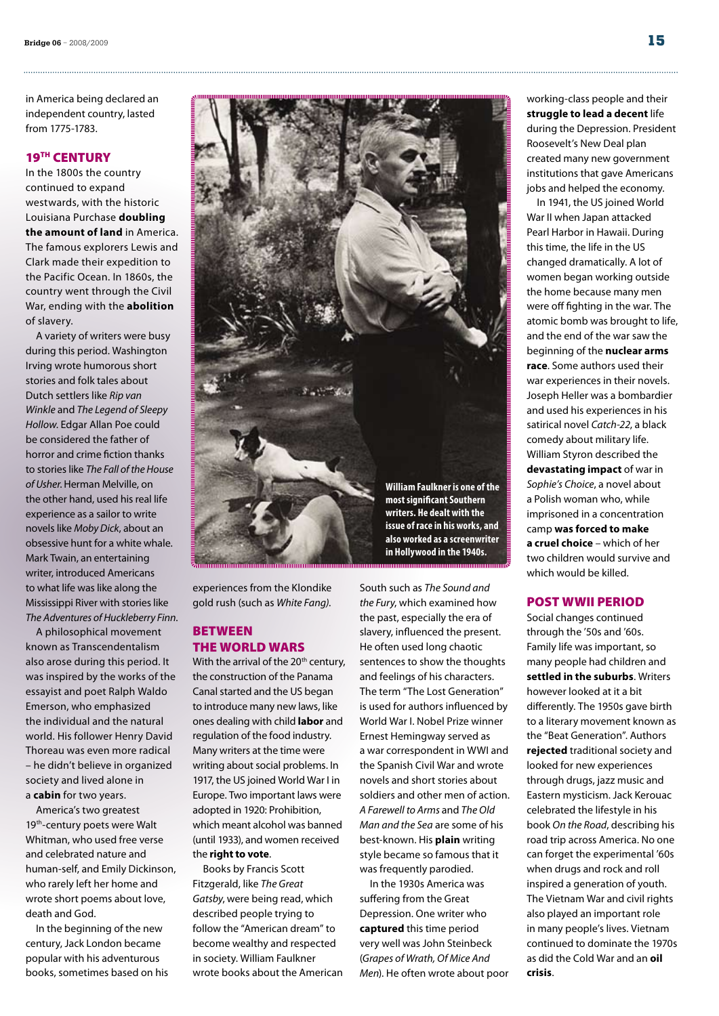in America being declared an independent country, lasted from 1775-1783.

# 19<sup>TH</sup> CENTURY

In the 1800s the country continued to expand westwards, with the historic Louisiana Purchase **doubling the amount of land** in America. The famous explorers Lewis and Clark made their expedition to the Pacific Ocean. In 1860s, the country went through the Civil War, ending with the **abolition** of slavery.

A variety of writers were busy during this period. Washington Irving wrote humorous short stories and folk tales about Dutch settlers like *Rip van Winkle* and *The Legend of Sleepy Hollow*. Edgar Allan Poe could be considered the father of horror and crime fiction thanks to stories like *The Fall of the House of Usher*.Herman Melville, on the other hand, used his real life experience as a sailor to write novels like *Moby Dick*, about an obsessive hunt for a white whale. Mark Twain, an entertaining writer, introduced Americans to what life was like along the Mississippi River with stories like *The Adventures of Huckleberry Finn*.

A philosophical movement known as Transcendentalism also arose during this period. It was inspired by the works of the essayist and poet Ralph Waldo Emerson, who emphasized the individual and the natural world. His follower Henry David Thoreau was even more radical – he didn't believe in organized society and lived alone in a **cabin** for two years.

America's two greatest 19<sup>th</sup>-century poets were Walt Whitman, who used free verse and celebrated nature and human-self, and Emily Dickinson, who rarely left her home and wrote short poems about love, death and God.

In the beginning of the new century, Jack London became popular with his adventurous books, sometimes based on his



experiences from the Klondike gold rush (such as *White Fang)*.

# **BETWEEN** the World Wars

With the arrival of the  $20<sup>th</sup>$  century, the construction of the Panama Canal started and the US began to introduce many new laws, like ones dealing with child **labor** and regulation of the food industry. Many writers at the time were writing about social problems. In 1917, the US joined World War I in Europe. Two important laws were adopted in 1920: Prohibition, which meant alcohol was banned (until 1933), and women received the **right to vote**.

Books by Francis Scott Fitzgerald, like *The Great Gatsby*, were being read, which described people trying to follow the "American dream" to become wealthy and respected in society. William Faulkner wrote books about the American South such as *The Sound and the Fury*, which examined how the past, especially the era of slavery, influenced the present. He often used long chaotic sentences to show the thoughts and feelings of his characters. The term "The Lost Generation" is used for authors influenced by World War I. Nobel Prize winner Ernest Hemingway served as a war correspondent in WWI and the Spanish Civil War and wrote novels and short stories about soldiers and other men of action. *A Farewell to Arms* and *The Old Man and the Sea* are some of his best-known. His **plain** writing style became so famous that it was frequently parodied. In the 1930s America was

suffering from the Great Depression. One writer who **captured** this time period very well was John Steinbeck (*Grapes of Wrath, Of Mice And Men*). He often wrote about poor

working-class people and their **struggle to lead a decent** life during the Depression. President Roosevelt's New Deal plan created many new government institutions that gave Americans jobs and helped the economy.

In 1941, the US joined World War II when Japan attacked Pearl Harbor in Hawaii. During this time, the life in the US changed dramatically. A lot of women began working outside the home because many men were off fighting in the war. The atomic bomb was brought to life, and the end of the war saw the beginning of the **nuclear arms race**. Some authors used their war experiences in their novels. Joseph Heller was a bombardier and used his experiences in his satirical novel *Catch-22*, a black comedy about military life. William Styron described the **devastating impact** of war in *Sophie's Choice*, a novel about a Polish woman who, while imprisoned in a concentration camp **was forced to make a cruel choice** – which of her two children would survive and which would be killed.

# Post WWII period

Social changes continued through the '50s and '60s. Family life was important, so many people had children and **settled in the suburbs**. Writers however looked at it a bit differently. The 1950s gave birth to a literary movement known as the "Beat Generation". Authors **rejected** traditional society and looked for new experiences through drugs, jazz music and Eastern mysticism. Jack Kerouac celebrated the lifestyle in his book *On the Road*, describing his road trip across America. No one can forget the experimental '60s when drugs and rock and roll inspired a generation of youth. The Vietnam War and civil rights also played an important role in many people's lives. Vietnam continued to dominate the 1970s as did the Cold War and an **oil crisis**.